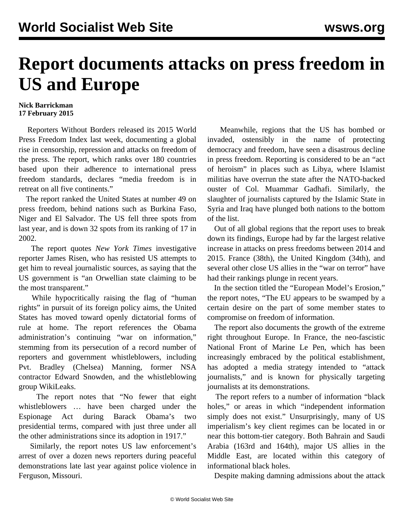## **Report documents attacks on press freedom in US and Europe**

## **Nick Barrickman 17 February 2015**

 Reporters Without Borders released its 2015 World Press Freedom Index last week, documenting a global rise in censorship, repression and attacks on freedom of the press. The report, which ranks over 180 countries based upon their adherence to international press freedom standards, declares "media freedom is in retreat on all five continents."

 The report ranked the United States at number 49 on press freedom, behind nations such as Burkina Faso, Niger and El Salvador. The US fell three spots from last year, and is down 32 spots from its ranking of 17 in 2002.

 The report quotes *New York Times* investigative reporter James Risen, who has resisted US attempts to get him to reveal journalistic sources, as saying that the US government is "an Orwellian state claiming to be the most transparent."

 While hypocritically raising the flag of "human rights" in pursuit of its foreign policy aims, the United States has moved toward openly dictatorial forms of rule at home. The report references the Obama administration's continuing "war on information," stemming from its persecution of a record number of reporters and government whistleblowers, including Pvt. Bradley (Chelsea) Manning, former NSA contractor Edward Snowden, and the whistleblowing group WikiLeaks.

 The report notes that "No fewer that eight whistleblowers … have been charged under the Espionage Act during Barack Obama's two presidential terms, compared with just three under all the other administrations since its adoption in 1917."

 Similarly, the report notes US law enforcement's arrest of over a dozen news reporters during peaceful demonstrations late last year against police violence in Ferguson, Missouri.

 Meanwhile, regions that the US has bombed or invaded, ostensibly in the name of protecting democracy and freedom, have seen a disastrous decline in press freedom. Reporting is considered to be an "act of heroism" in places such as Libya, where Islamist militias have overrun the state after the NATO-backed ouster of Col. Muammar Gadhafi. Similarly, the slaughter of journalists captured by the Islamic State in Syria and Iraq have plunged both nations to the bottom of the list.

 Out of all global regions that the report uses to break down its findings, Europe had by far the largest relative increase in attacks on press freedoms between 2014 and 2015. France (38th), the United Kingdom (34th), and several other close US allies in the "war on terror" have had their rankings plunge in recent years.

 In the section titled the "European Model's Erosion," the report notes, "The EU appears to be swamped by a certain desire on the part of some member states to compromise on freedom of information.

 The report also documents the growth of the extreme right throughout Europe. In France, the neo-fascistic National Front of Marine Le Pen, which has been increasingly embraced by the political establishment, has adopted a media strategy intended to "attack journalists," and is known for physically targeting journalists at its demonstrations.

 The report refers to a number of information "black holes," or areas in which "independent information simply does not exist." Unsurprisingly, many of US imperialism's key client regimes can be located in or near this bottom-tier category. Both Bahrain and Saudi Arabia (163rd and 164th), major US allies in the Middle East, are located within this category of informational black holes.

Despite making damning admissions about the attack